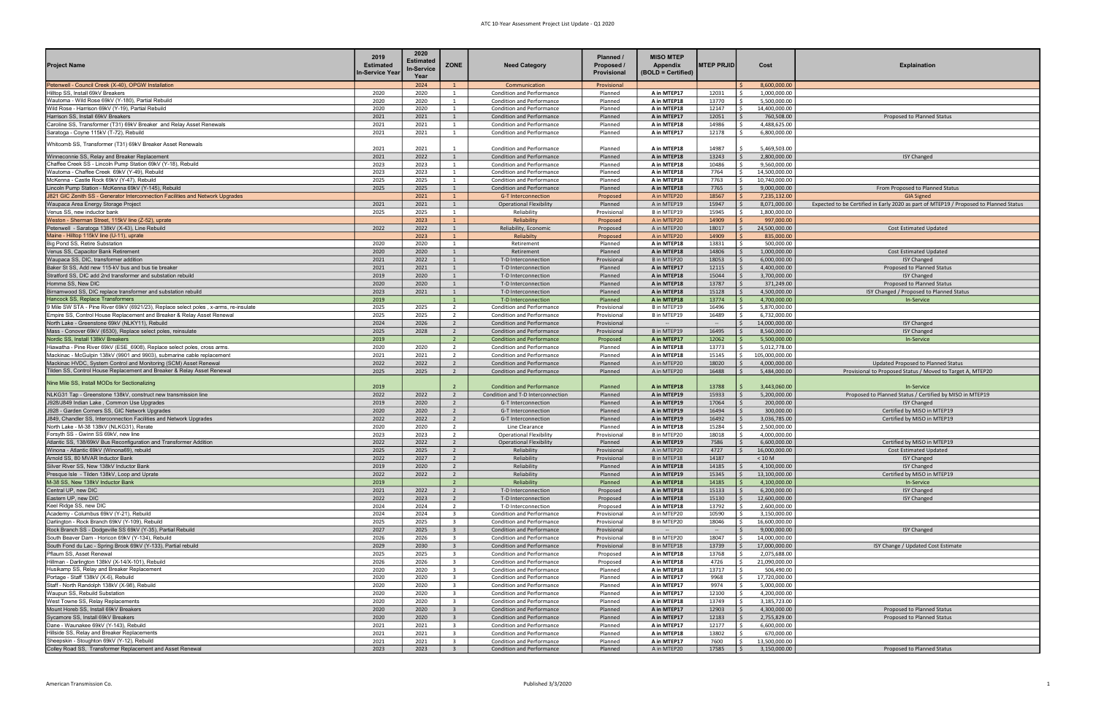## ATC 10-Year Assessment Project List Update - Q1 2020

| Project Name                                                                                                                               | 2019<br><b>Estimated</b><br>∣n-Service Year | 2020<br>Estimated<br>In-Service<br>Year | ZONE                                      | <b>Need Category</b>                                                 | Planned /<br>Proposed /<br>Provisional | <b>MISO MTEP</b><br>Appendix<br>(BOLD = Certified) | <b>MTEP PRJID</b> | Cost                                          | <b>Explaination</b>                                                                   |
|--------------------------------------------------------------------------------------------------------------------------------------------|---------------------------------------------|-----------------------------------------|-------------------------------------------|----------------------------------------------------------------------|----------------------------------------|----------------------------------------------------|-------------------|-----------------------------------------------|---------------------------------------------------------------------------------------|
| Petenwell - Council Creek (X-40), OPGW Installation                                                                                        |                                             | 2024                                    | $\overline{1}$                            | Communication                                                        | Provisional                            |                                                    |                   | 8,600,000.00<br>$\zeta$                       |                                                                                       |
| Hilltop SS, Install 69kV Breakers                                                                                                          | 2020                                        | 2020                                    | 1                                         | <b>Condition and Performance</b>                                     | Planned                                | A in MTEP17                                        | 12031             | 1,000,000.00<br>$\zeta$                       |                                                                                       |
| Wautoma - Wild Rose 69kV (Y-180), Partial Rebuild                                                                                          | 2020                                        | 2020                                    | 1                                         | Condition and Performance                                            | Planned                                | A in MTEP18                                        | 13770             | 5,500,000.00                                  |                                                                                       |
| Wild Rose - Harrison 69kV (Y-19), Partial Rebuild<br>Harrison SS, Install 69kV Breakers                                                    | 2020<br>2021                                | 2020<br>2021                            | 1<br>1                                    | <b>Condition and Performance</b><br><b>Condition and Performance</b> | Planned<br>Planned                     | A in MTEP18<br>A in MTEP17                         | 12147<br>12051    | Ŝ.<br>14,400,000.00<br>760,508.00             | Proposed to Planned Status                                                            |
| Caroline SS, Transformer (T31) 69kV Breaker and Relay Asset Renewals                                                                       | 2021                                        | 2021                                    | 1                                         | <b>Condition and Performance</b>                                     | Planned                                | A in MTEP18                                        | 14986             | 4,488,625.00<br>- Ś                           |                                                                                       |
| Saratoga - Coyne 115kV (T-72), Rebuild                                                                                                     | 2021                                        | 2021                                    | 1                                         | Condition and Performance                                            | Planned                                | A in MTEP17                                        | 12178             | - Ś<br>6,800,000.00                           |                                                                                       |
| Whitcomb SS, Transformer (T31) 69kV Breaker Asset Renewals                                                                                 | 2021                                        | 2021                                    | 1                                         | Condition and Performance                                            | Planned                                | A in MTEP18                                        | 14987             | 5,469,503.00                                  |                                                                                       |
| Winneconnie SS, Relay and Breaker Replacement                                                                                              | 2021                                        | 2022                                    | 1                                         | <b>Condition and Performance</b>                                     | Planned                                | A in MTEP18                                        | 13243             | 2,800,000.00<br>$\mathsf{S}$                  | <b>ISY Changed</b>                                                                    |
| Chaffee Creek SS - Lincoln Pump Station 69kV (Y-18), Rebuild                                                                               | 2023                                        | 2023                                    | 1                                         | Condition and Performance                                            | Planned                                | A in MTEP18                                        | 10486             | 9,560,000.00                                  |                                                                                       |
| Wautoma - Chaffee Creek 69kV (Y-49), Rebuild                                                                                               | 2023                                        | 2023                                    | 1                                         | <b>Condition and Performance</b>                                     | Planned                                | A in MTEP18                                        | 7764              | Ŝ.<br>14,500,000.00                           |                                                                                       |
| McKenna - Castle Rock 69kV (Y-47), Rebuild<br>Lincoln Pump Station - McKenna 69kV (Y-145), Rebuild                                         | 2025<br>2025                                | 2025<br>2025                            | 1<br>1                                    | Condition and Performance<br><b>Condition and Performance</b>        | Planned<br>Planned                     | A in MTEP18<br>A in MTEP18                         | 7763<br>7765      | 10,740,000.00<br>$\mathsf{S}$<br>9,000,000.00 | From Proposed to Planned Status                                                       |
| J821 GIC Zenith SS - Generator Interconnection Facilities and Network Upgrades                                                             |                                             | 2021                                    | $\mathbf{1}$                              | <b>G-T Interconnection</b>                                           | Proposed                               | A in MTEP20                                        | 18567             | 7,235,132.00                                  | <b>GIA Signed</b>                                                                     |
| Waupaca Area Energy Storage Project                                                                                                        | 2021                                        | 2021                                    | 1                                         | <b>Operational Flexibility</b>                                       | Planned                                | A in MTEP19                                        | 15947             | 8,071,000.00                                  | Expected to be Certified in Early 2020 as part of MTEP19 / Proposed to Planned Status |
| Venus SS, new inductor bank                                                                                                                | 2025                                        | 2025                                    | $\overline{1}$                            | Reliability                                                          | Provisional                            | B in MTEP19                                        | 15945             | 1,800,000.00                                  |                                                                                       |
| Weston - Sherman Street, 115kV line (Z-52), uprate                                                                                         |                                             | 2023                                    | $\mathbf{1}$                              | Reliability                                                          | Proposed                               | A in MTEP20                                        | 14909             | 997,000.00                                    |                                                                                       |
| Petenwell - Saratoga 138kV (X-43), Line Rebuild                                                                                            | 2022                                        | 2022                                    | $\overline{1}$                            | Reliability, Economic                                                | Proposed                               | A in MTEP20                                        | 18017             | 24,500,000.00<br>S.                           | <b>Cost Estimated Updated</b>                                                         |
| Maine - Hilltop 115kV line (U-11), uprate<br>Big Pond SS, Retire Substation                                                                | 2020                                        | 2023<br>2020                            | $\mathbf{1}$<br>$\overline{1}$            | Reliabilty<br>Retirement                                             | Proposed<br>Planned                    | A in MTEP20<br>A in MTEP18                         | 14909<br>13831    | 835,000.00<br>500,000.00                      |                                                                                       |
| Venus SS, Capacitor Bank Retirement                                                                                                        | 2020                                        | 2020                                    | 1                                         | Retirement                                                           | Planned                                | A in MTEP18                                        | 14806             | 1,000,000.00                                  | <b>Cost Estimated Updated</b>                                                         |
| Waupaca SS, DIC, transformer addition                                                                                                      | 2021                                        | 2022                                    | $\mathbf{1}$                              | T-D Interconnection                                                  | Provisional                            | B in MTEP20                                        | 18053             | 6,000,000.00                                  | <b>ISY Changed</b>                                                                    |
| Baker St SS, Add new 115-kV bus and bus tie breaker                                                                                        | 2021                                        | 2021                                    | 1                                         | T-D Interconnection                                                  | Planned                                | A in MTEP17                                        | 12115             | 4,400,000.00                                  | Proposed to Planned Status                                                            |
| Stratford SS, DIC add 2nd transformer and substation rebuild                                                                               | 2019                                        | 2020                                    | 1                                         | T-D Interconnection                                                  | Planned                                | A in MTEP18                                        | 15044             | 3,700,000.00                                  | <b>ISY Changed</b>                                                                    |
| Homme SS, New DIC                                                                                                                          | 2020                                        | 2020                                    | 1                                         | T-D Interconnection                                                  | Planned                                | A in MTEP18                                        | 13787             | 371,249.00                                    | Proposed to Planned Status                                                            |
| Birnamwood SS, DIC replace transformer and substation rebuild                                                                              | 2023                                        | 2021                                    | 1                                         | T-D Interconnection                                                  | Planned                                | A in MTEP18                                        | 15128             | 4,500,000.00<br>S.                            | ISY Changed / Proposed to Planned Status                                              |
| Hancock SS, Replace Transformers<br>9 Mile SW STA - Pine River 69kV (6921/23), Replace select poles, x-arms, re-insulate                   | 2019<br>2025                                | 2025                                    | 1<br>2                                    | T-D Interconnection<br>Condition and Performance                     | Planned<br>Provisional                 | A in MTEP18<br>B in MTEP19                         | 13774<br>16496    | 4,700,000.00<br>5,870,000.00                  | In-Service                                                                            |
| Empire SS, Control House Replacement and Breaker & Relay Asset Renewal                                                                     | 2025                                        | 2025                                    | $\overline{2}$                            | Condition and Performance                                            | Provisional                            | B in MTEP19                                        | 16489             | - Ś<br>6,732,000.00                           |                                                                                       |
| North Lake - Greenstone 69kV (NLKY11), Rebuild                                                                                             | 2024                                        | 2026                                    | $\overline{2}$                            | <b>Condition and Performance</b>                                     | Provisional                            | $\overline{\phantom{a}}$                           | $\sim$            | IS.<br>14,000,000.00                          | <b>ISY Changed</b>                                                                    |
| Mass - Conover 69kV (6530), Replace select poles, reinsulate                                                                               | 2025                                        | 2028                                    | $\overline{2}$                            | <b>Condition and Performance</b>                                     | Provisional                            | B in MTEP19                                        | 16495             | 8,560,000.00                                  | <b>ISY Changed</b>                                                                    |
| Nordic SS, Install 138kV Breakers                                                                                                          | 2019                                        |                                         | $2^{\circ}$                               | <b>Condition and Performance</b>                                     | Proposed                               | A in MTEP17                                        | 12062             | 5,500,000.00<br>- Ś                           | In-Service                                                                            |
| Hiawatha - Pine River 69kV (ESE 6908), Replace select poles, cross arms.                                                                   | 2020                                        | 2020                                    | $\overline{2}$                            | Condition and Performance                                            | Planned                                | A in MTEP18                                        | 13773             | 5,012,778.00<br>- Ś                           |                                                                                       |
| Mackinac - McGulpin 138kV (9901 and 9903), submarine cable replacement<br>Mackinac HVDC, System Control and Monitoring (SCM) Asset Renewal | 2021<br>2022                                | 2021<br>2022                            | $\overline{2}$                            | Condition and Performance<br>Condition and Performance               | Planned<br>Planned                     | A in MTEP18<br>A in MTEP20                         | 15145<br>18020    | l\$<br>105,000,000.00<br>4,000,000.00         | Updated Proposed to Planned Status                                                    |
| <b>Tilden SS, Control House Replacement and Breaker &amp; Relay Asset Renewal</b>                                                          | 2025                                        | 2025                                    | $\overline{2}$<br>$\overline{2}$          | Condition and Performance                                            | Planned                                | A in MTEP20                                        | 16488             | 5,484,000.00                                  | Provisional to Proposed Status / Moved to Target A, MTEP20                            |
| Nine Mile SS, Install MODs for Sectionalizing                                                                                              | 2019                                        |                                         |                                           | <b>Condition and Performance</b>                                     | Planned                                | A in MTEP18                                        | 13788             | 3,443,060.00                                  | <b>In-Service</b>                                                                     |
| NLKG31 Tap - Greenstone 138kV, construct new transmission line                                                                             | 2022                                        | 2022                                    | $\overline{2}$                            | Condition and T-D Interconnection                                    | Planned                                | A in MTEP19                                        | 15933             | - Ś<br>5,200,000.00                           | Proposed to Planned Status / Certified by MISO in MTEP19                              |
| J928/J849 Indian Lake, Common Use Upgrades                                                                                                 | 2019                                        | 2020                                    | $\overline{2}$                            | G-T Interconnection                                                  | Planned                                | A in MTEP19                                        | 17064             | 200,000.00                                    | <b>ISY Changed</b>                                                                    |
| J928 - Garden Corners SS, GIC Network Upgrades                                                                                             | 2020                                        | 2020                                    | $\overline{2}$                            | G-T Interconnection                                                  | Planned                                | A in MTEP19                                        | 16494             | 300,000.00                                    | Certified by MISO in MTEP19                                                           |
| J849, Chandler SS, Interconnection Facilities and Network Upgrades                                                                         | 2022                                        | 2022                                    | $\overline{2}$                            | G-T Interconnection                                                  | Planned                                | A in MTEP19                                        | 16492             | 3,036,785.00<br>$\mathsf{S}$                  | Certified by MISO in MTEP19                                                           |
| North Lake - M-38 138kV (NLKG31), Rerate<br>Forsyth SS - Gwinn SS 69kV, new line                                                           | 2020<br>2023                                | 2020<br>2023                            | $\overline{2}$<br>$\overline{2}$          | Line Clearance<br><b>Operational Flexibility</b>                     | Planned<br>Provisional                 | A in MTEP18<br>B in MTEP20                         | 15284<br>18018    | 2,500,000.00<br>4,000,000.00                  |                                                                                       |
| Atlantic SS, 138/69kV Bus Reconfiguration and Transformer Addition                                                                         | 2022                                        | 2022                                    | $\overline{2}$                            | <b>Operational Flexibility</b>                                       | Planned                                | A in MTEP19                                        | 7586              | 6,600,000.00<br>- Ś                           | Certified by MISO in MTEP19                                                           |
| Winona - Atlantic 69kV (Winona69), rebuild                                                                                                 | 2025                                        | 2025                                    | $2^{\circ}$                               | Reliability                                                          | Provisional                            | A in MTEP20                                        | 4727              | 16,000,000.00<br>$\vert$ s                    | Cost Estimated Updated                                                                |
| Arnold SS, 80 MVAR Inductor Bank                                                                                                           | 2022                                        | 2027                                    | $\overline{2}$                            | Reliability                                                          | Provisional                            | B in MTEP18                                        | 14187             | < 10 M                                        | <b>ISY Changed</b>                                                                    |
| Silver River SS, New 138kV Inductor Bank                                                                                                   | 2019                                        | 2020                                    | $\overline{2}$                            | Reliability                                                          | Planned                                | A in MTEP18                                        | 14185             | 4,100,000.00                                  | <b>ISY Changed</b>                                                                    |
| Presque Isle - Tilden 138kV, Loop and Uprate                                                                                               | 2022                                        | 2022                                    | $\overline{2}$                            | Reliability                                                          | Planned                                | A in MTEP19                                        | 15345             | 13,100,000.00                                 | Certified by MISO in MTEP19                                                           |
| M-38 SS, New 138kV Inductor Bank<br>Central UP, new DIC                                                                                    | 2019<br>2021                                | 2022                                    | $\overline{2}$<br>$\overline{2}$          | Reliability<br>T-D Interconnection                                   | Planned<br>Proposed                    | A in MTEP18<br>A in MTEP18                         | 14185<br>15133    | 4,100,000.00<br>6,200,000.00                  | In-Service<br><b>ISY Changed</b>                                                      |
| Eastern UP, new DIC                                                                                                                        | 2022                                        | 2023                                    | $\overline{2}$                            | T-D Interconnection                                                  | Proposed                               | A in MTEP18                                        | 15130             | 12,600,000.00                                 | <b>ISY Changed</b>                                                                    |
| Keel Ridge SS, new DIC                                                                                                                     | 2024                                        | 2024                                    | 2                                         | T-D Interconnection                                                  | Proposed                               | A in MTEP18                                        | 13792             | 2,600,000.00                                  |                                                                                       |
| Academy - Columbus 69kV (Y-21), Rebuild                                                                                                    | 2024                                        | 2024                                    | $\overline{\mathbf{3}}$                   | Condition and Performance                                            | Provisional                            | A in MTEP20                                        | 10590             | 3,150,000.00<br>- Ś                           |                                                                                       |
| Darlington - Rock Branch 69kV (Y-109), Rebuild                                                                                             | 2025                                        | 2025                                    | $\overline{\mathbf{3}}$                   | Condition and Performance                                            | Provisional                            | B in MTEP20                                        | 18046             | Ŝ.<br>16,600,000.00                           |                                                                                       |
| Rock Branch SS - Dodgeville SS 69kV (Y-35), Partial Rebuild                                                                                | 2027                                        | 2025                                    | $\overline{3}$                            | <b>Condition and Performance</b>                                     | Provisional                            | $\sim$                                             | $\sim$            | 9,000,000.00<br>- Ś                           | <b>ISY Changed</b>                                                                    |
| South Beaver Dam - Horicon 69kV (Y-134), Rebuild<br>South Fond du Lac - Spring Brook 69kV (Y-133), Partial rebuild                         | 2026<br>2029                                | 2026<br>2030                            | $\overline{\mathbf{3}}$<br>$\overline{3}$ | Condition and Performance<br>Condition and Performance               | Provisional<br>Provisional             | B in MTEP20<br>B in MTEP18                         | 18047<br>13739    | 14,000,000.00<br>I\$<br>17,000,000.00<br>S.   | ISY Change / Updated Cost Estimate                                                    |
| Pflaum SS, Asset Renewal                                                                                                                   | 2025                                        | 2025                                    | $\overline{3}$                            | Condition and Performance                                            | Proposed                               | A in MTEP18                                        | 13768             | 2,075,688.00                                  |                                                                                       |
| Hillman - Darlington 138kV (X-14/X-101), Rebuild                                                                                           | 2026                                        | 2026                                    | $\overline{\mathbf{3}}$                   | Condition and Performance                                            | Proposed                               | A in MTEP18                                        | 4726              | 21,090,000.00                                 |                                                                                       |
| Husikamp SS, Relay and Breaker Replacement                                                                                                 | 2020                                        | 2020                                    | $\overline{\mathbf{3}}$                   | Condition and Performance                                            | Planned                                | A in MTEP18                                        | 13717             | - Ś<br>506,490.00                             |                                                                                       |
| Portage - Staff 138kV (X-6), Rebuild                                                                                                       | 2020                                        | 2020                                    | $\overline{3}$                            | Condition and Performance                                            | Planned                                | A in MTEP17                                        | 9968              | Ŝ.<br>17,720,000.00                           |                                                                                       |
| Staff - North Randolph 138kV (X-98), Rebuild                                                                                               | 2020                                        | 2020                                    | $\overline{3}$                            | Condition and Performance                                            | Planned                                | A in MTEP17                                        | 9974              | - Ś<br>5,000,000.00                           |                                                                                       |
| Waupun SS, Rebuild Substation                                                                                                              | 2020                                        | 2020                                    | $\overline{\mathbf{3}}$                   | <b>Condition and Performance</b>                                     | Planned                                | A in MTEP17                                        | 12100             | 4,200,000.00                                  |                                                                                       |
| West Towne SS, Relay Replacements<br>Mount Horeb SS, Install 69kV Breakers                                                                 | 2020<br>2020                                | 2020<br>2020                            | $\overline{\mathbf{3}}$<br>3 <sup>1</sup> | <b>Condition and Performance</b><br>Condition and Performance        | Planned<br>Planned                     | A in MTEP18<br>A in MTEP17                         | 13749<br>12903    | 3,185,723.00<br>4,300,000.00                  | Proposed to Planned Status                                                            |
| Sycamore SS, Install 69kV Breakers                                                                                                         | 2020                                        | 2020                                    | 3 <sup>1</sup>                            | <b>Condition and Performance</b>                                     | Planned                                | A in MTEP17                                        | 12183             | 2,755,829.00                                  | Proposed to Planned Status                                                            |
| Dane - Waunakee 69kV (Y-143), Rebuild                                                                                                      | 2021                                        | 2021                                    | $\overline{\mathbf{3}}$                   | <b>Condition and Performance</b>                                     | Planned                                | A in MTEP17                                        | 12177             | 6,600,000.00                                  |                                                                                       |
| Hillside SS, Relay and Breaker Replacements                                                                                                | 2021                                        | 2021                                    | $\overline{\mathbf{3}}$                   | Condition and Performance                                            | Planned                                | A in MTEP18                                        | 13802             | 670,000.00<br>- Ś                             |                                                                                       |
| Sheepskin - Stoughton 69kV (Y-12), Rebuild                                                                                                 | 2021                                        | 2021                                    | $\overline{\mathbf{3}}$                   | Condition and Performance                                            | Planned                                | A in MTEP17                                        | 7600              | 13,500,000.00<br>- Ś                          |                                                                                       |
| Colley Road SS, Transformer Replacement and Asset Renewal                                                                                  | 2023                                        | 2023                                    | $\overline{3}$                            | Condition and Performance                                            | Planned                                | A in MTEP20                                        | 17585             | 3,150,000.00<br>l s                           | Proposed to Planned Status                                                            |

| <b>MTEP PRJID</b> |                    | Cost<br><b>Explaination</b>    |                                                                                                            |  |  |  |  |  |  |  |
|-------------------|--------------------|--------------------------------|------------------------------------------------------------------------------------------------------------|--|--|--|--|--|--|--|
|                   | \$                 | 8,600,000.00                   |                                                                                                            |  |  |  |  |  |  |  |
| 12031             | \$                 | 1,000,000.00                   |                                                                                                            |  |  |  |  |  |  |  |
| 13770             | \$                 | 5,500,000.00                   |                                                                                                            |  |  |  |  |  |  |  |
| 12147             | \$                 | 14,400,000.00                  |                                                                                                            |  |  |  |  |  |  |  |
| 12051             | \$                 | 760,508.00                     | Proposed to Planned Status                                                                                 |  |  |  |  |  |  |  |
| 14986<br>12178    | \$<br>\$           | 4,488,625.00<br>6,800,000.00   |                                                                                                            |  |  |  |  |  |  |  |
|                   |                    |                                |                                                                                                            |  |  |  |  |  |  |  |
| 14987             | \$                 | 5,469,503.00                   |                                                                                                            |  |  |  |  |  |  |  |
| 13243             | \$                 | 2,800,000.00                   | <b>ISY Changed</b>                                                                                         |  |  |  |  |  |  |  |
| 10486             | \$                 | 9,560,000.00                   |                                                                                                            |  |  |  |  |  |  |  |
| 7764              | \$                 | 14,500,000.00                  |                                                                                                            |  |  |  |  |  |  |  |
| 7763              | \$                 | 10,740,000.00                  |                                                                                                            |  |  |  |  |  |  |  |
| 7765              | \$                 | 9,000,000.00                   | From Proposed to Planned Status                                                                            |  |  |  |  |  |  |  |
| 18567<br>15947    | \$<br>\$           | 7,235,132.00<br>8,071,000.00   | <b>GIA Signed</b><br>Expected to be Certified in Early 2020 as part of MTEP19 / Proposed to Planned Status |  |  |  |  |  |  |  |
| 15945             | \$                 | 1,800,000.00                   |                                                                                                            |  |  |  |  |  |  |  |
| 14909             | \$                 | 997,000.00                     |                                                                                                            |  |  |  |  |  |  |  |
| 18017             | \$                 | 24,500,000.00                  | <b>Cost Estimated Updated</b>                                                                              |  |  |  |  |  |  |  |
| 14909             | \$                 | 835,000.00                     |                                                                                                            |  |  |  |  |  |  |  |
| 13831             | \$                 | 500,000.00                     |                                                                                                            |  |  |  |  |  |  |  |
| 14806             | \$                 | 1,000,000.00                   | <b>Cost Estimated Updated</b>                                                                              |  |  |  |  |  |  |  |
| 18053             | \$<br>\$           | 6,000,000.00                   | <b>ISY Changed</b><br>Proposed to Planned Status                                                           |  |  |  |  |  |  |  |
| 12115<br>15044    | \$                 | 4,400,000.00<br>3,700,000.00   | <b>ISY Changed</b>                                                                                         |  |  |  |  |  |  |  |
| 13787             | \$                 | 371,249.00                     | Proposed to Planned Status                                                                                 |  |  |  |  |  |  |  |
| 15128             | \$                 | 4,500,000.00                   | ISY Changed / Proposed to Planned Status                                                                   |  |  |  |  |  |  |  |
| 13774             | \$                 | 4,700,000.00                   | <b>In-Service</b>                                                                                          |  |  |  |  |  |  |  |
| 16496             | \$                 | 5,870,000.00                   |                                                                                                            |  |  |  |  |  |  |  |
| 16489             | \$                 | 6,732,000.00                   |                                                                                                            |  |  |  |  |  |  |  |
|                   | \$                 | 14,000,000.00                  | <b>ISY Changed</b>                                                                                         |  |  |  |  |  |  |  |
| 16495             | \$                 | 8,560,000.00                   | <b>ISY Changed</b>                                                                                         |  |  |  |  |  |  |  |
| 12062             | \$                 | 5,500,000.00                   | In-Service                                                                                                 |  |  |  |  |  |  |  |
| 13773<br>15145    | \$<br>\$           | 5,012,778.00<br>105,000,000.00 |                                                                                                            |  |  |  |  |  |  |  |
| 18020             | \$                 | 4,000,000.00                   | <b>Updated Proposed to Planned Status</b>                                                                  |  |  |  |  |  |  |  |
| 16488             | \$                 | 5,484,000.00                   | Provisional to Proposed Status / Moved to Target A, MTEP20                                                 |  |  |  |  |  |  |  |
|                   |                    |                                |                                                                                                            |  |  |  |  |  |  |  |
| 13788             | \$                 | 3,443,060.00                   | In-Service                                                                                                 |  |  |  |  |  |  |  |
| 15933             | \$                 | 5,200,000.00                   | Proposed to Planned Status / Certified by MISO in MTEP19                                                   |  |  |  |  |  |  |  |
| 17064             | \$                 | 200,000.00                     | <b>ISY Changed</b>                                                                                         |  |  |  |  |  |  |  |
| 16494             | \$<br>\$           | 300,000.00                     | Certified by MISO in MTEP19                                                                                |  |  |  |  |  |  |  |
| 16492<br>15284    | \$                 | 3,036,785.00<br>2,500,000.00   | Certified by MISO in MTEP19                                                                                |  |  |  |  |  |  |  |
| 18018             | \$                 | 4,000,000.00                   |                                                                                                            |  |  |  |  |  |  |  |
| 7586              | \$                 | 6,600,000.00                   | Certified by MISO in MTEP19                                                                                |  |  |  |  |  |  |  |
| 4727              | \$                 | 16,000,000.00                  | <b>Cost Estimated Updated</b>                                                                              |  |  |  |  |  |  |  |
| 14187             |                    | $< 10 M$                       | <b>ISY Changed</b>                                                                                         |  |  |  |  |  |  |  |
| 14185             | \$                 | 4,100,000.00                   | <b>ISY Changed</b>                                                                                         |  |  |  |  |  |  |  |
| 15345             | \$                 | 13,100,000.00                  | Certified by MISO in MTEP19                                                                                |  |  |  |  |  |  |  |
| 14185<br>15133    | \$<br>\$           | 4,100,000.00<br>6,200,000.00   | In-Service<br><b>ISY Changed</b>                                                                           |  |  |  |  |  |  |  |
| 15130             | \$                 | 12,600,000.00                  | <b>ISY Changed</b>                                                                                         |  |  |  |  |  |  |  |
| 13792             | \$                 | 2,600,000.00                   |                                                                                                            |  |  |  |  |  |  |  |
| 10590             | \$                 | 3,150,000.00                   |                                                                                                            |  |  |  |  |  |  |  |
| 18046             | \$                 | 16,600,000.00                  |                                                                                                            |  |  |  |  |  |  |  |
|                   | \$                 | 9,000,000.00                   | <b>ISY Changed</b>                                                                                         |  |  |  |  |  |  |  |
| 18047             | \$                 | 14,000,000.00                  |                                                                                                            |  |  |  |  |  |  |  |
| 13739             | \$                 | 17,000,000.00                  | ISY Change / Updated Cost Estimate                                                                         |  |  |  |  |  |  |  |
| 13768<br>4726     | \$<br>\$           | 2,075,688.00<br>21,090,000.00  |                                                                                                            |  |  |  |  |  |  |  |
| 13717             | \$                 | 506,490.00                     |                                                                                                            |  |  |  |  |  |  |  |
| 9968              | \$                 | 17,720,000.00                  |                                                                                                            |  |  |  |  |  |  |  |
| 9974              | \$                 | 5,000,000.00                   |                                                                                                            |  |  |  |  |  |  |  |
| 12100             | \$                 | 4,200,000.00                   |                                                                                                            |  |  |  |  |  |  |  |
| 13749             | \$                 | 3,185,723.00                   |                                                                                                            |  |  |  |  |  |  |  |
| 12903             | \$                 | 4,300,000.00                   | Proposed to Planned Status                                                                                 |  |  |  |  |  |  |  |
| 12183             | \$                 | 2,755,829.00                   | Proposed to Planned Status                                                                                 |  |  |  |  |  |  |  |
| 12177<br>13802    | \$<br>\$           | 6,600,000.00<br>670,000.00     |                                                                                                            |  |  |  |  |  |  |  |
| 7600              | \$                 | 13,500,000.00                  |                                                                                                            |  |  |  |  |  |  |  |
| 17585             | $\mathsf{\dot{S}}$ | 3.150.000.00                   | Proposed to Planned Status                                                                                 |  |  |  |  |  |  |  |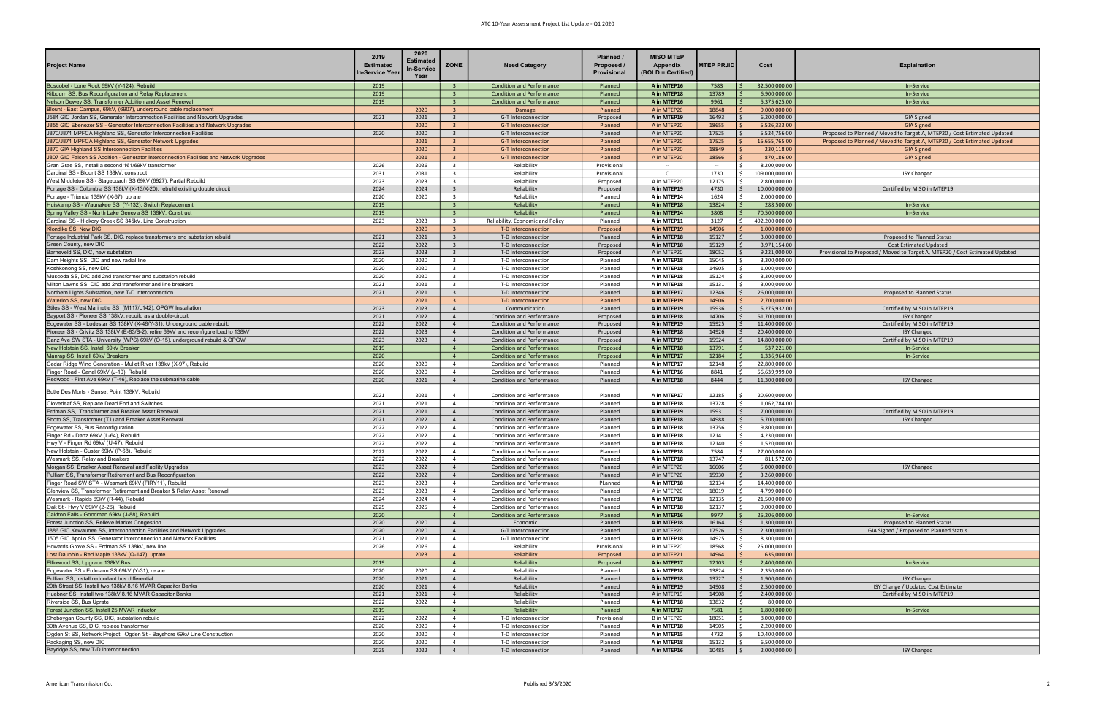## ATC 10-Year Assessment Project List Update - Q1 2020

| <b>Project Name</b>                                                                                                                                | 2019<br><b>Estimated</b><br>n-Service Year | 2020<br><b>Estimated</b><br>In-Service<br>Year | <b>ZONE</b>                                        | <b>Need Category</b>                                                 | Planned /<br>Proposed /<br>Provisional | <b>MISO MTEP</b><br>Appendix<br>(BOLD = Certified) | <b>MTEP PRJID</b> | Cost                                      | <b>Explaination</b>                                                          |
|----------------------------------------------------------------------------------------------------------------------------------------------------|--------------------------------------------|------------------------------------------------|----------------------------------------------------|----------------------------------------------------------------------|----------------------------------------|----------------------------------------------------|-------------------|-------------------------------------------|------------------------------------------------------------------------------|
| Boscobel - Lone Rock 69kV (Y-124), Rebuild                                                                                                         | 2019                                       |                                                | $\overline{3}$                                     | <b>Condition and Performance</b>                                     | Planned                                | A in MTEP16                                        | 7583              | 32,500,000.00<br>  \$                     | In-Service                                                                   |
| Kilbourn SS, Bus Reconfiguration and Relay Replacement                                                                                             | 2019                                       |                                                | $\mathbf{R}$                                       | <b>Condition and Performance</b>                                     | Planned                                | A in MTEP18                                        | 13789             | 6,900,000.00                              | In-Service                                                                   |
| <b>Nelson Dewey SS, Transformer Addition and Asset Renewal</b>                                                                                     | 2019                                       |                                                | 3 <sup>2</sup>                                     | <b>Condition and Performance</b>                                     | Planned                                | A in MTEP16                                        | 9961              | 5,375,625.00                              | In-Service                                                                   |
| Blount - East Campus, 69kV, (6907), underground cable replacement<br>J584 GIC Jordan SS, Generator Interconnection Facilities and Network Upgrades | 2021                                       | 2020<br>2021                                   | $\overline{3}$<br>$\overline{3}$                   | Damage<br>G-T Interconnection                                        | Planned                                | A in MTEP20<br>A in MTEP19                         | 18848<br>16493    | 9,000,000.00<br>6,200,000.00              |                                                                              |
| 1855 GIC Ebenezer SS - Generator Interconnection Facilities and Network Upgrades                                                                   |                                            | 2020                                           | $\overline{3}$                                     | <b>G-T Interconnection</b>                                           | Proposed<br>Planned                    | A in MTEP20                                        | 18655             | 5,526,333.00                              | <b>GIA Signed</b><br><b>GIA Signed</b>                                       |
| 1870/J871 MPFCA Highland SS, Generator Interconnection Facilities                                                                                  | 2020                                       | 2020                                           | $\overline{\mathbf{3}}$                            | G-T Interconnection                                                  | Planned                                | A in MTEP20                                        | 17525             | 5,524,756.00                              | Proposed to Planned / Moved to Target A, MTEP20 / Cost Estimated Updated     |
| J870/J871 MPFCA Highland SS, Generator Network Upgrades                                                                                            |                                            | 2021                                           | 3                                                  | <b>G-T Interconnection</b>                                           | Planned                                | A in MTEP20                                        | 17525             | 16,655,765.00                             | Proposed to Planned / Moved to Target A, MTEP20 / Cost Estimated Updated     |
| 1870 GIA Highland SS Interconnection Facilities                                                                                                    |                                            | 2020                                           | $\mathbf{R}$                                       | <b>G-T Interconnection</b>                                           | Planned                                | A in MTEP20                                        | 18849             | 230,118.00                                | <b>GIA Signed</b>                                                            |
| 1807 GIC Falcon SS Addition - Generator Interconnection Facilities and Network Upgrades                                                            |                                            | 2021                                           | $\overline{\mathbf{3}}$                            | <b>G-T Interconnection</b>                                           | Planned                                | A in MTEP20                                        | 18566             | 870,186.00                                | <b>GIA Signed</b>                                                            |
| Gran Grae SS, Install a second 161/69kV transformer                                                                                                | 2026                                       | 2026                                           | $\overline{\mathbf{3}}$                            | Reliability                                                          | Provisional                            | $\sim$                                             | $\sim$            | 8,200,000.00                              |                                                                              |
| Cardinal SS - Blount SS 138kV, construct                                                                                                           | 2031                                       | 2031                                           | $\overline{\mathbf{3}}$                            | <b>Reliability</b>                                                   | Provisional                            | C.                                                 | 1730              | 109,000,000.00                            | <b>ISY Changed</b>                                                           |
| West Middleton SS - Stagecoach SS 69kV (6927), Partial Rebuild                                                                                     | 2023                                       | 2023                                           | $\overline{\mathbf{3}}$                            | Reliability                                                          | Proposed                               | A in MTEP20                                        | 12175             | 2,800,000.00                              |                                                                              |
| Portage SS - Columbia SS 138kV (X-13/X-20), rebuild existing double circuit<br>Portage - Trienda 138kV (X-67), uprate                              | 2024<br>2020                               | 2024<br>2020                                   | $\overline{\mathbf{3}}$<br>$\overline{\mathbf{3}}$ | Reliability<br>Reliability                                           | Proposed<br>Planned                    | A in MTEP19<br>A in MTEP14                         | 4730<br>1624      | 10,000,000.00<br>2,000,000.00             | Certified by MISO in MTEP19                                                  |
| Huiskamp SS - Waunakee SS (Y-132), Switch Replacement                                                                                              | 2019                                       |                                                | $\overline{\mathbf{3}}$                            | Reliability                                                          | Planned                                | A in MTEP18                                        | 13824             | 288,500.00<br>-Ś                          | In-Service                                                                   |
| Spring Valley SS - North Lake Geneva SS 138kV, Construct                                                                                           | 2019                                       |                                                | $\overline{\mathbf{3}}$                            | Reliability                                                          | Planned                                | A in MTEP14                                        | 3808              | 70,500,000.00                             | In-Service                                                                   |
| Cardinal SS - Hickory Creek SS 345kV, Line Construction                                                                                            | 2023                                       | 2023                                           | $\overline{\mathbf{3}}$                            | Reliability, Economic and Policy                                     | Planned                                | A in MTEP11                                        | 3127              | 492,200,000.00<br>S.                      |                                                                              |
| <b>Klondike SS, New DIC</b>                                                                                                                        |                                            | 2020                                           | $\overline{\mathbf{3}}$                            | T-D Interconnection                                                  | Proposed                               | A in MTEP19                                        | 14906             | 1,000,000.00                              |                                                                              |
| Portage Industrial Park SS, DIC, replace transformers and substation rebuild                                                                       | 2021                                       | 2021                                           | $\overline{\mathbf{3}}$                            | T-D Interconnection                                                  | Planned                                | A in MTEP18                                        | 15127             | 3,000,000.00<br>S.                        | Proposed to Planned Status                                                   |
| Green County, new DIC                                                                                                                              | 2022                                       | 2022                                           | $\overline{3}$                                     | T-D Interconnection                                                  | Proposed                               | A in MTEP18                                        | 15129             | 3,971,154.00                              | Cost Estimated Updated                                                       |
| Barneveld SS, DIC, new substation                                                                                                                  | 2023                                       | 2023                                           | $\overline{\mathbf{3}}$                            | T-D Interconnection                                                  | Proposed                               | A in MTEP20                                        | 18052             | 9,221,000.00<br>Ŝ.                        | Provisional to Proposed / Moved to Target A, MTEP20 / Cost Estimated Updated |
| Dam Heights SS, DIC and new radial line<br>Koshkonong SS, new DIC                                                                                  | 2020<br>2020                               | 2020<br>2020                                   | $\overline{\mathbf{3}}$<br>$\overline{\mathbf{3}}$ | T-D Interconnection<br>T-D Interconnection                           | Planned<br>Planned                     | A in MTEP18                                        | 15045<br>14905    | 3,300,000.00<br>1,000,000.00<br>Š.        |                                                                              |
| Muscoda SS, DIC add 2nd transformer and substation rebuild                                                                                         | 2020                                       | 2020                                           | $\overline{\mathbf{3}}$                            | T-D Interconnection                                                  | Planned                                | A in MTEP18<br>A in MTEP18                         | 15124             | 3,300,000.00                              |                                                                              |
| Milton Lawns SS, DIC add 2nd transformer and line breakers                                                                                         | 2021                                       | 2021                                           | $\overline{\mathbf{3}}$                            | T-D Interconnection                                                  | Planned                                | A in MTEP18                                        | 15131             | 3,000,000.00                              |                                                                              |
| Northern Lights Substation, new T-D Interconnection                                                                                                | 2021                                       | 2021                                           | $\overline{\mathbf{3}}$                            | T-D Interconnection                                                  | Planned                                | A in MTEP17                                        | 12346             | 26,000,000.00                             | Proposed to Planned Status                                                   |
| <b>Naterloo SS, new DIC</b>                                                                                                                        |                                            | 2021                                           | $\overline{3}$                                     | T-D Interconnection                                                  | Planned                                | A in MTEP19                                        | 14906             | 2,700,000.00                              |                                                                              |
| Stiles SS - West Marinette SS (M117/L142), OPGW Installation                                                                                       | 2023                                       | 2023                                           | $\overline{4}$                                     | Communication                                                        | Planned                                | A in MTEP19                                        | 15936             | 5,275,932.00                              | Certified by MISO in MTEP19                                                  |
| Bayport SS - Pioneer SS 138kV, rebuild as a double-circuit                                                                                         | 2021                                       | 2022                                           | $\overline{4}$                                     | <b>Condition and Performance</b>                                     | Proposed                               | A in MTEP18                                        | 14706             | 51,700,000.00                             | <b>ISY Changed</b>                                                           |
| Edgewater SS - Lodestar SS 138kV (X-48/Y-31), Underground cable rebuild                                                                            | 2022                                       | 2022                                           | $\overline{4}$                                     | <b>Condition and Performance</b>                                     | Proposed                               | A in MTEP19                                        | 15925             | 11,400,000.00                             | Certified by MISO in MTEP19                                                  |
| Pioneer SS - Crivitz SS 138kV (E-83/B-2), retire 69kV and reconfigure load to 138kV                                                                | 2022<br>2023                               | 2023                                           | $\overline{4}$                                     | <b>Condition and Performance</b>                                     | Proposed                               | A in MTEP18                                        | 14926             | 20,400,000.00                             | <b>ISY Changed</b>                                                           |
| Danz Ave SW STA - University (WPS) 69kV (O-15), underground rebuild & OPGW<br><b>New Holstein SS, Install 69kV Breaker</b>                         | 2019                                       | 2023                                           | $\overline{4}$<br>$\overline{4}$                   | <b>Condition and Performance</b><br><b>Condition and Performance</b> | Proposed<br>Proposed                   | A in MTEP19<br>A in MTEP18                         | 15924<br>13791    | 14,800,000.00<br>537,221.00               | Certified by MISO in MTEP19<br>In-Service                                    |
| Manrap SS, Install 69kV Breakers                                                                                                                   | 2020                                       |                                                | $\overline{4}$                                     | <b>Condition and Performance</b>                                     | Proposed                               | A in MTEP17                                        | 12184             | 1,336,964.00                              | In-Service                                                                   |
| Cedar Ridge Wind Generation - Mullet River 138kV (X-97), Rebuild                                                                                   | 2020                                       | 2020                                           | $\overline{4}$                                     | <b>Condition and Performance</b>                                     | Planned                                | A in MTEP17                                        | 12148             | 22,800,000.00                             |                                                                              |
| -inger Road - Canal 69kV (J-10), Rebuild                                                                                                           | 2020                                       | 2020                                           | $\overline{4}$                                     | Condition and Performance                                            | Planned                                | A in MTEP16                                        | 8841              | 56,639,999.00                             |                                                                              |
| Redwood - First Ave 69kV (T-46), Replace the submarine cable                                                                                       | 2020                                       | 2021                                           | $\overline{4}$                                     | <b>Condition and Performance</b>                                     | Planned                                | A in MTEP18                                        | 8444              | 11,300,000.00                             | <b>ISY Changed</b>                                                           |
| Butte Des Morts - Sunset Point 138kV, Rebuild                                                                                                      | 2021                                       | 2021                                           | $\overline{4}$                                     | <b>Condition and Performance</b>                                     | Planned                                | A in MTEP17                                        | 12185             | 20,600,000.00                             |                                                                              |
| Cloverleaf SS, Replace Dead End and Switches                                                                                                       | 2021                                       | 2021                                           | $\overline{4}$                                     | Condition and Performance                                            | Planned                                | A in MTEP18                                        | 13728             | 1,062,784.00<br>Ŝ.                        |                                                                              |
| Erdman SS, Transformer and Breaker Asset Renewal                                                                                                   | 2021                                       | 2021                                           | $\overline{4}$                                     | <b>Condition and Performance</b>                                     | Planned                                | A in MTEP19                                        | 15931             | 7,000,000.00                              | Certified by MISO in MTEP19                                                  |
| Shoto SS, Transformer (T1) and Breaker Asset Renewal                                                                                               | 2021                                       | 2022                                           | $\overline{4}$                                     | <b>Condition and Performance</b>                                     | Planned                                | A in MTEP18                                        | 14988             | 5,700,000.00<br><b>S</b>                  | <b>ISY Changed</b>                                                           |
| Edgewater SS, Bus Reconfiguration                                                                                                                  | 2022                                       | 2022                                           | $\overline{4}$                                     | Condition and Performance                                            | Planned                                | A in MTEP18                                        | 13756             | 9,800,000.00                              |                                                                              |
| Finger Rd - Danz 69kV (L-64), Rebuild                                                                                                              | 2022                                       | 2022                                           | $\overline{4}$                                     | <b>Condition and Performance</b>                                     | Planned                                | A in MTEP18                                        | 12141             | 4,230,000.00                              |                                                                              |
| Hwy V - Finger Rd 69kV (U-47), Rebuild                                                                                                             | 2022                                       | 2022                                           | $\overline{4}$                                     | Condition and Performance                                            | Planned                                | A in MTEP18                                        | 12140             | 1,520,000.00<br>-Ś                        |                                                                              |
| lew Holstein - Custer 69kV (P-68), Rebuild<br>Nesmark SS, Relay and Breakers                                                                       | 2022<br>2022                               | 2022<br>2022                                   | $\overline{4}$                                     | Condition and Performance<br>Condition and Performance               | Planned                                | A in MTEP18<br>A in MTEP18                         | 7584<br>13747     | l \$<br>27,000,000.00<br>Ŝ.<br>811,572.00 |                                                                              |
| Morgan SS, Breaker Asset Renewal and Facility Upgrades                                                                                             | 2023                                       | 2022                                           | $\overline{4}$                                     | <b>Condition and Performance</b>                                     | Planned<br>Planned                     | A in MTEP20                                        | 16606             | 5,000,000.00                              | <b>ISY Changed</b>                                                           |
| Pulliam SS, Transformer Retirement and Bus Reconfiguration                                                                                         | 2022                                       | 2022                                           | $\overline{4}$                                     | Condition and Performance                                            | Planned                                | A in MTEP20                                        | 15930             | 3,260,000.00                              |                                                                              |
| Finger Road SW STA - Wesmark 69kV (FIRY11), Rebuild                                                                                                | 2023                                       | 2023                                           | $\overline{4}$                                     | Condition and Performance                                            | PLanned                                | A in MTEP18                                        | 12134             | 14,400,000.00                             |                                                                              |
| Glenview SS, Transformer Retirement and Breaker & Relay Asset Renewal                                                                              | 2023                                       | 2023                                           | $\overline{4}$                                     | Condition and Performance                                            | Planned                                | A in MTEP20                                        | 18019             | 4,799,000.00                              |                                                                              |
| Nesmark - Rapids 69kV (R-44), Rebuild                                                                                                              | 2024                                       | 2024                                           | $\overline{4}$                                     | Condition and Performance                                            | Planned                                | A in MTEP18                                        | 12135             | 21,500,000.00                             |                                                                              |
| Oak St - Hwy V 69kV (Z-26), Rebuild                                                                                                                | 2025                                       | 2025                                           | $\overline{4}$                                     | Condition and Performance                                            | Planned                                | A in MTEP18                                        | 12137             | 9,000,000.00                              |                                                                              |
| Caldron Falls - Goodman 69kV (J-88), Rebuild                                                                                                       | 2020                                       |                                                | $\overline{4}$                                     | <b>Condition and Performance</b>                                     | Planned                                | A in MTEP16                                        | 9977              | 25,206,000.00                             | In-Service                                                                   |
| Forest Junction SS, Relieve Market Congestion<br>1886 GIC Kewaunee SS, Interconnection Facilities and Network Upgrades                             | 2020<br>2020                               | 2020<br>2020                                   | $\overline{4}$<br>$\overline{4}$                   | Economic<br>G-T Interconnection                                      | Planned<br>Planned                     | A in MTEP18<br>A in MTEP20                         | 16164<br>17526    | 1,300,000.00<br>2,300,000.00              | Proposed to Planned Status<br>GIA Signed / Proposed to Planned Status        |
| 1505 GIC Apollo SS, Generator Interconnection and Network Facilities                                                                               | 2021                                       | 2021                                           | $\overline{4}$                                     | G-T Interconnection                                                  | Planned                                | A in MTEP18                                        | 14925             | 8,300,000.00                              |                                                                              |
| lowards Grove SS - Erdman SS 138kV, new line                                                                                                       | 2026                                       | 2026                                           | $\overline{4}$                                     | Reliability                                                          | Provisional                            | B in MTEP20                                        | 18568             | 25,000,000.00                             |                                                                              |
| ost Dauphin - Red Maple 138kV (Q-147), uprate                                                                                                      |                                            | 2023                                           | $\overline{4}$                                     | Reliability                                                          | Proposed                               | A in MTEP21                                        | 14964             | 635,000.00                                |                                                                              |
| Ellinwood SS, Upgrade 138kV Bus                                                                                                                    | 2019                                       |                                                | $\overline{4}$                                     | Reliability                                                          | Proposed                               | A in MTEP17                                        | 12103             | 2,400,000.00                              | In-Service                                                                   |
| Edgewater SS - Erdmann SS 69kV (Y-31), rerate                                                                                                      | 2020                                       | 2020                                           | $\overline{4}$                                     | Reliability                                                          | Planned                                | A in MTEP18                                        | 13824             | 2,350,000.00<br>-Ś                        |                                                                              |
| Pulliam SS, Install redundant bus differential                                                                                                     | 2020                                       | 2021                                           | $\overline{4}$                                     | Reliability                                                          | Planned                                | A in MTEP18                                        | 13727             | 1,900,000.00                              | <b>ISY Changed</b>                                                           |
| 20th Street SS, Install two 138kV 8.16 MVAR Capacitor Banks                                                                                        | 2020                                       | 2021                                           | $\overline{4}$                                     | Reliability                                                          | Planned                                | A in MTEP19                                        | 14908             | 2,500,000.00                              | ISY Change / Updated Cost Estimate                                           |
| Huebner SS, Install two 138kV 8.16 MVAR Capacitor Banks                                                                                            | 2021<br>2022                               | 2021<br>2022                                   | $\overline{4}$<br>$\overline{4}$                   | Reliability<br>Reliability                                           | Planned<br>Planned                     | A in MTEP19                                        | 14908<br>13832    | 2,400,000.00<br>80,000.00<br>-Ś           | Certified by MISO in MTEP19                                                  |
| Riverside SS, Bus Uprate<br>orest Junction SS, Install 25 MVAR Inductor                                                                            | 2019                                       |                                                | $\overline{4}$                                     | Reliability                                                          | Planned                                | A in MTEP18<br>A in MTEP17                         | 7581              | 1,800,000.00                              | In-Service                                                                   |
| Sheboygan County SS, DIC, substation rebuild                                                                                                       | 2022                                       | 2022                                           | $\overline{4}$                                     | T-D Interconnection                                                  | Provisional                            | B in MTEP20                                        | 18051             | 8,000,000.00                              |                                                                              |
| 30th Avenue SS, DIC, replace transformer                                                                                                           | 2020                                       | 2020                                           | $\overline{4}$                                     | T-D Interconnection                                                  | Planned                                | A in MTEP18                                        | 14905             | 2,200,000.00<br>-Ś                        |                                                                              |
| Ogden St SS, Network Project: Ogden St - Bayshore 69kV Line Construction                                                                           | 2020                                       | 2020                                           | $\overline{4}$                                     | T-D Interconnection                                                  | Planned                                | A in MTEP15                                        | 4732              | 10,400,000.00<br>Ŝ.                       |                                                                              |
| Packaging SS, new DIC                                                                                                                              | 2020                                       | 2020                                           | $\overline{4}$                                     | T-D Interconnection                                                  | Planned                                | A in MTEP18                                        | 15132             | 6,500,000.00                              |                                                                              |
| Bayridge SS, new T-D Interconnection                                                                                                               | 2025                                       | 2022                                           | $\overline{4}$                                     | T-D Interconnection                                                  | Planned                                | A in MTEP16                                        | 10485             | 2,000,000.00<br>S.                        | <b>ISY Changed</b>                                                           |